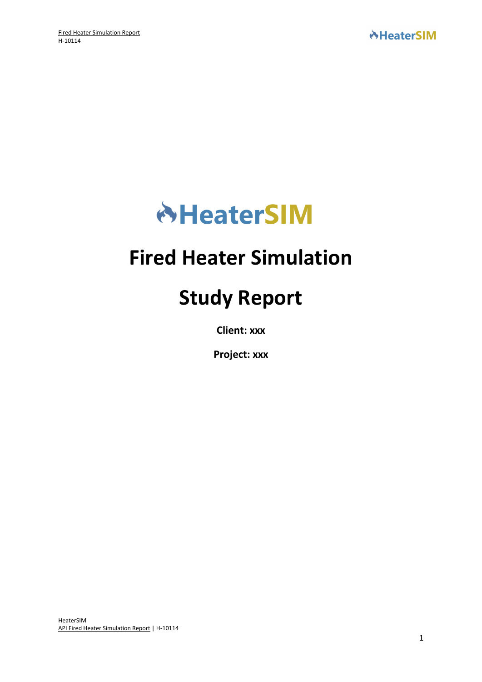

## **Fired Heater Simulation**

# **Study Report**

**Client: xxx**

**Project: xxx**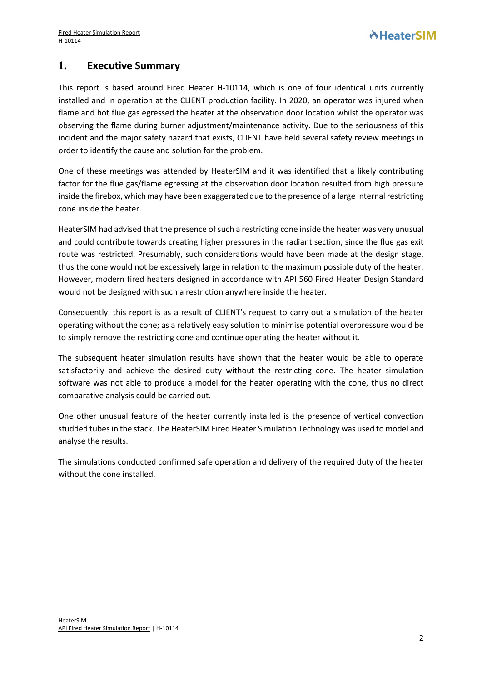### **1. Executive Summary**

This report is based around Fired Heater H-10114, which is one of four identical units currently installed and in operation at the CLIENT production facility. In 2020, an operator was injured when flame and hot flue gas egressed the heater at the observation door location whilst the operator was observing the flame during burner adjustment/maintenance activity. Due to the seriousness of this incident and the major safety hazard that exists, CLIENT have held several safety review meetings in order to identify the cause and solution for the problem.

One of these meetings was attended by HeaterSIM and it was identified that a likely contributing factor for the flue gas/flame egressing at the observation door location resulted from high pressure inside the firebox, which may have been exaggerated due to the presence of a large internal restricting cone inside the heater.

HeaterSIM had advised that the presence of such a restricting cone inside the heater was very unusual and could contribute towards creating higher pressures in the radiant section, since the flue gas exit route was restricted. Presumably, such considerations would have been made at the design stage, thus the cone would not be excessively large in relation to the maximum possible duty of the heater. However, modern fired heaters designed in accordance with API 560 Fired Heater Design Standard would not be designed with such a restriction anywhere inside the heater.

Consequently, this report is as a result of CLIENT's request to carry out a simulation of the heater operating without the cone; as a relatively easy solution to minimise potential overpressure would be to simply remove the restricting cone and continue operating the heater without it.

The subsequent heater simulation results have shown that the heater would be able to operate satisfactorily and achieve the desired duty without the restricting cone. The heater simulation software was not able to produce a model for the heater operating with the cone, thus no direct comparative analysis could be carried out.

One other unusual feature of the heater currently installed is the presence of vertical convection studded tubes in the stack. The HeaterSIM Fired Heater Simulation Technology was used to model and analyse the results.

The simulations conducted confirmed safe operation and delivery of the required duty of the heater without the cone installed.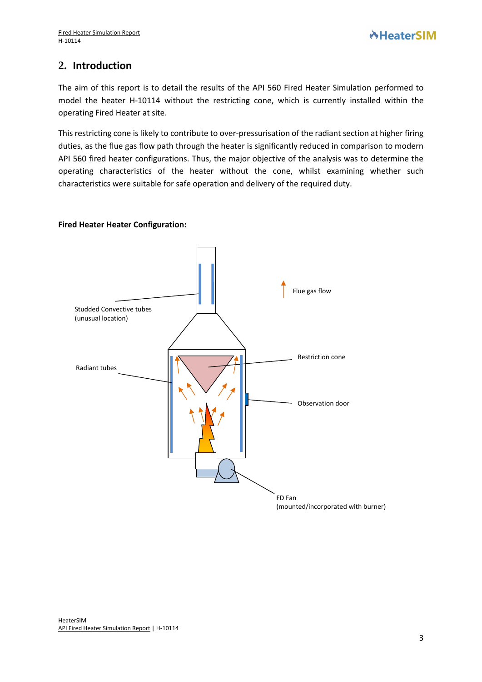## **2. Introduction**

The aim of this report is to detail the results of the API 560 Fired Heater Simulation performed to model the heater H-10114 without the restricting cone, which is currently installed within the operating Fired Heater at site.

This restricting cone is likely to contribute to over-pressurisation of the radiant section at higher firing duties, as the flue gas flow path through the heater is significantly reduced in comparison to modern API 560 fired heater configurations. Thus, the major objective of the analysis was to determine the operating characteristics of the heater without the cone, whilst examining whether such characteristics were suitable for safe operation and delivery of the required duty.

#### **Fired Heater Heater Configuration:**

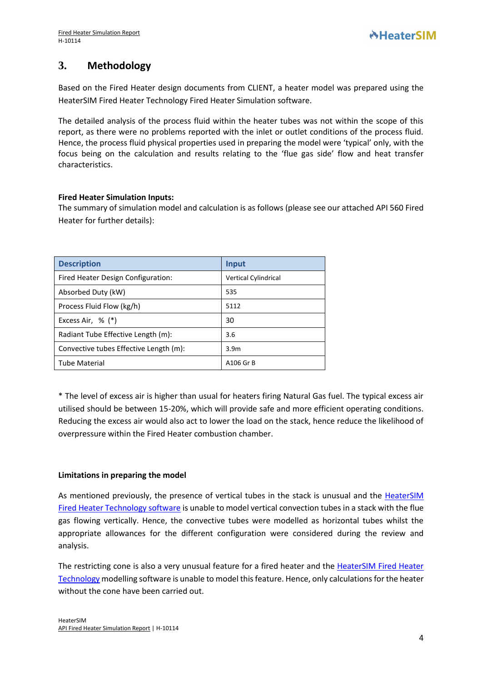## **3. Methodology**

Based on the Fired Heater design documents from CLIENT, a heater model was prepared using the HeaterSIM Fired Heater Technology Fired Heater Simulation software.

The detailed analysis of the process fluid within the heater tubes was not within the scope of this report, as there were no problems reported with the inlet or outlet conditions of the process fluid. Hence, the process fluid physical properties used in preparing the model were 'typical' only, with the focus being on the calculation and results relating to the 'flue gas side' flow and heat transfer characteristics.

#### **Fired Heater Simulation Inputs:**

The summary of simulation model and calculation is as follows (please see our attached API 560 Fired Heater for further details):

| <b>Description</b>                     | Input                |
|----------------------------------------|----------------------|
| Fired Heater Design Configuration:     | Vertical Cylindrical |
| Absorbed Duty (kW)                     | 535                  |
| Process Fluid Flow (kg/h)              | 5112                 |
| Excess Air, $\%$ (*)                   | 30                   |
| Radiant Tube Effective Length (m):     | 3.6                  |
| Convective tubes Effective Length (m): | 3.9 <sub>m</sub>     |
| Tube Material                          | A106 Gr B            |

\* The level of excess air is higher than usual for heaters firing Natural Gas fuel. The typical excess air utilised should be between 15-20%, which will provide safe and more efficient operating conditions. Reducing the excess air would also act to lower the load on the stack, hence reduce the likelihood of overpressure within the Fired Heater combustion chamber.

#### **Limitations in preparing the model**

As mentioned previously, the presence of vertical tubes in the stack is unusual and the [HeaterSIM](https://www.heatersim.com/fired_heater/simulation?new-model)  [Fired Heater Technology](https://www.heatersim.com/fired_heater/simulation?new-model) software is unable to model vertical convection tubes in a stack with the flue gas flowing vertically. Hence, the convective tubes were modelled as horizontal tubes whilst the appropriate allowances for the different configuration were considered during the review and analysis.

The restricting cone is also a very unusual feature for a fired heater and the [HeaterSIM Fired Heater](https://www.heatersim.com/fired_heater/simulation?new-model)  [Technology](https://www.heatersim.com/fired_heater/simulation?new-model) modelling software is unable to model this feature. Hence, only calculations for the heater without the cone have been carried out.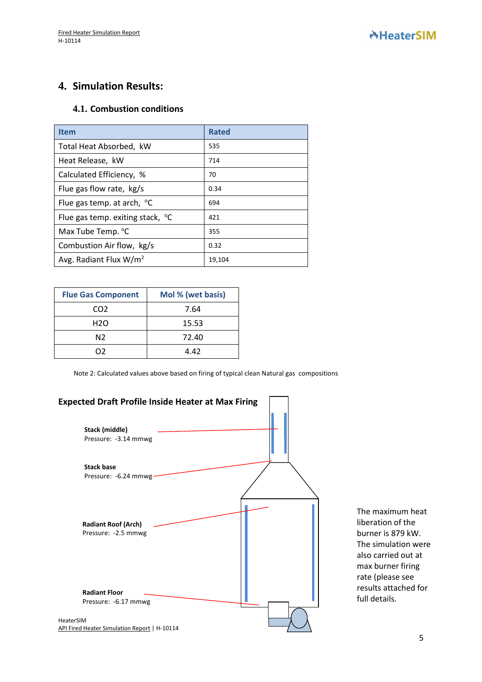## **4. Simulation Results:**

#### **4.1. Combustion conditions**

| <b>Item</b>                         | <b>Rated</b> |
|-------------------------------------|--------------|
| Total Heat Absorbed, kW             | 535          |
| Heat Release, kW                    | 714          |
| Calculated Efficiency, %            | 70           |
| Flue gas flow rate, kg/s            | 0.34         |
| Flue gas temp. at arch, $\degree$ C | 694          |
| Flue gas temp. exiting stack, °C    | 421          |
| Max Tube Temp. °C                   | 355          |
| Combustion Air flow, kg/s           | 0.32         |
| Avg. Radiant Flux $W/m^2$           | 19,104       |

| <b>Flue Gas Component</b> | Mol % (wet basis) |
|---------------------------|-------------------|
| CO <sub>2</sub>           | 7.64              |
| H <sub>2</sub> O          | 15.53             |
| N2                        | 72.40             |
| כר                        | 4.42              |

Note 2: Calculated values above based on firing of typical clean Natural gas compositions



The maximum heat liberation of the burner is 879 kW. The simulation were also carried out at max burner firing rate (please see results attached for full details.